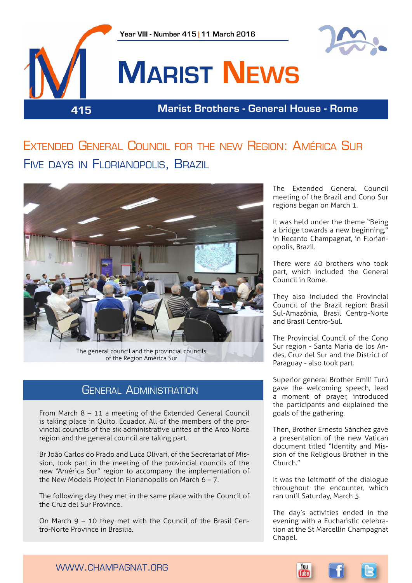



# **Marist News**

**415 Marist Brothers - General House - Rome**

# Extended General Council for the new Region: América Sur Five days in Florianopolis, Brazil



## GENERAL ADMINISTRATION

From March 8 – 11 a meeting of the Extended General Council is taking place in Quito, Ecuador. All of the members of the provincial councils of the six administrative unites of the Arco Norte region and the general council are taking part.

Br João Carlos do Prado and Luca Olivari, of the Secretariat of Mission, took part in the meeting of the provincial councils of the new "América Sur" region to accompany the implementation of the New Models Project in Florianopolis on March  $6 - 7$ .

The following day they met in the same place with the Council of the Cruz del Sur Province.

On March 9 – 10 they met with the Council of the Brasil Centro-Norte Province in Brasilia.

The Extended General Council meeting of the Brazil and Cono Sur regions began on March 1.

It was held under the theme "Being a bridge towards a new beginning," in Recanto Champagnat, in Florianopolis, Brazil.

There were 40 brothers who took part, which included the General Council in Rome.

They also included the Provincial Council of the Brazil region: Brasil Sul-Amazônia, Brasil Centro-Norte and Brasil Centro-Sul.

The Provincial Council of the Cono Sur region - Santa Maria de los Andes, Cruz del Sur and the District of Paraguay - also took part.

Superior general Brother Emili Turú gave the welcoming speech, lead a moment of prayer, introduced the participants and explained the goals of the gathering.

Then, Brother Ernesto Sánchez gave a presentation of the new Vatican document titled "Identity and Mission of the Religious Brother in the Church."

It was the leitmotif of the dialogue throughout the encounter, which ran until Saturday, March 5.

The day's activities ended in the evening with a Eucharistic celebration at the St Marcellin Champagnat Chapel.



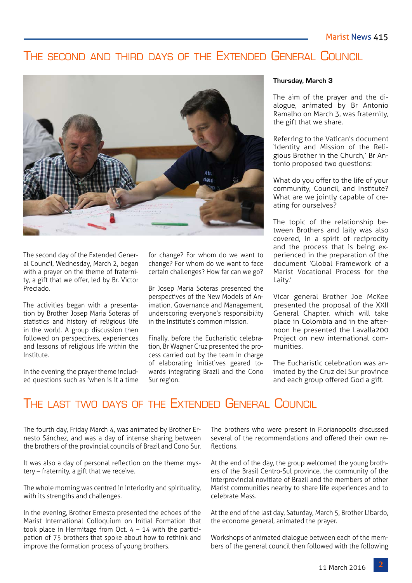## The second and third days of the Extended General Council



The second day of the Extended General Council, Wednesday, March 2, began with a prayer on the theme of fraternity, a gift that we offer, led by Br. Victor Preciado.

The activities began with a presentation by Brother Josep Maria Soteras of statistics and history of religious life in the world. A group discussion then followed on perspectives, experiences and lessons of religious life within the Institute.

In the evening, the prayer theme included questions such as 'when is it a time for change? For whom do we want to change? For whom do we want to face certain challenges? How far can we go?

Br Josep Maria Soteras presented the perspectives of the New Models of Animation, Governance and Management, underscoring everyone's responsibility in the Institute's common mission.

Finally, before the Eucharistic celebration, Br Wagner Cruz presented the process carried out by the team in charge of elaborating initiatives geared towards integrating Brazil and the Cono Sur region.

#### **Thursday, March 3**

The aim of the prayer and the dialogue, animated by Br Antonio Ramalho on March 3, was fraternity, the gift that we share.

Referring to the Vatican's document 'Identity and Mission of the Religious Brother in the Church,' Br Antonio proposed two questions:

What do you offer to the life of your community, Council, and Institute? What are we jointly capable of creating for ourselves?

The topic of the relationship between Brothers and laity was also covered, in a spirit of reciprocity and the process that is being experienced in the preparation of the document 'Global Framework of a Marist Vocational Process for the Laity.'

Vicar general Brother Joe McKee presented the proposal of the XXII General Chapter, which will take place in Colombia and in the afternoon he presented the Lavalla200 Project on new international communities.

The Eucharistic celebration was animated by the Cruz del Sur province and each group offered God a gift.

## The last two days of the Extended General Council

The fourth day, Friday March 4, was animated by Brother Ernesto Sánchez, and was a day of intense sharing between the brothers of the provincial councils of Brazil and Cono Sur.

It was also a day of personal reflection on the theme: mystery – fraternity, a gift that we receive.

The whole morning was centred in interiority and spirituality, with its strengths and challenges.

In the evening, Brother Ernesto presented the echoes of the Marist International Colloquium on Initial Formation that took place in Hermitage from Oct.  $4 - 14$  with the participation of 75 brothers that spoke about how to rethink and improve the formation process of young brothers.

The brothers who were present in Florianopolis discussed several of the recommendations and offered their own reflections.

At the end of the day, the group welcomed the young brothers of the Brasil Centro-Sul province, the community of the interprovincial novitiate of Brazil and the members of other Marist communities nearby to share life experiences and to celebrate Mass.

At the end of the last day, Saturday, March 5, Brother Libardo, the econome general, animated the prayer.

Workshops of animated dialogue between each of the members of the general council then followed with the following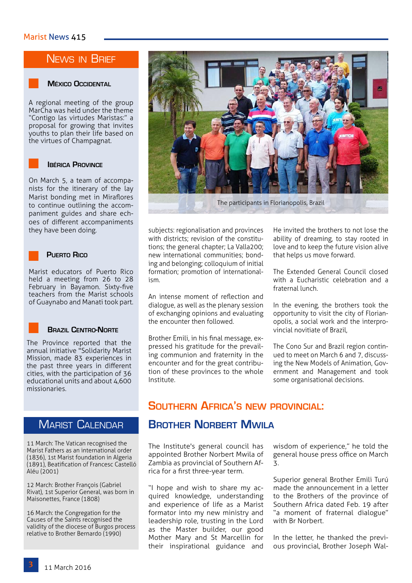## NEWS IN BRIEF



#### **México Occidental**

A regional meeting of the group MarCha was held under the theme "Contigo las virtudes Maristas:" a proposal for growing that invites youths to plan their life based on the virtues of Champagnat.

#### **Ibérica Province**

On March 5, a team of accompanists for the itinerary of the lay Marist bonding met in Miraflores to continue outlining the accompaniment guides and share echoes of different accompaniments they have been doing.

#### **Puerto Rico**

Marist educators of Puerto Rico held a meeting from 26 to 28 February in Bayamon. Sixty-five teachers from the Marist schools of Guaynabo and Manati took part.



#### **Brazil Centro-Norte**

The Province reported that the annual initiative "Solidarity Marist Mission, made 83 experiences in the past three years in different cities, with the participation of 36 educational units and about 4,600 missionaries.

## **MARIST CALENDAR**

11 March: The Vatican recognised the Marist Fathers as an international order (1836), 1st Marist foundation in Algeria (1891), Beatification of Francesc Castelló Aléu (2001)

12 March: Brother François (Gabriel Rivat), 1st Superior General, was born in Maisonettes, France (1808)

16 March: the Congregation for the Causes of the Saints recognised the validity of the diocese of Burgos process relative to Brother Bernardo (1990)



subjects: regionalisation and provinces with districts; revision of the constitutions; the general chapter; La Valla200; new international communities; bonding and belonging; colloquium of initial formation; promotion of internationalism.

An intense moment of reflection and dialogue, as well as the plenary session of exchanging opinions and evaluating the encounter then followed.

Brother Emili, in his final message, expressed his gratitude for the prevailing communion and fraternity in the encounter and for the great contribution of these provinces to the whole Institute.

He invited the brothers to not lose the ability of dreaming, to stay rooted in love and to keep the future vision alive that helps us move forward.

The Extended General Council closed with a Eucharistic celebration and a fraternal lunch.

In the evening, the brothers took the opportunity to visit the city of Florianopolis, a social work and the interprovincial novitiate of Brazil,

The Cono Sur and Brazil region continued to meet on March 6 and 7, discussing the New Models of Animation, Government and Management and took some organisational decisions.

## **Southern Africa's new provincial:**

## **BROTHER NORBERT MWILA**

The Institute's general council has appointed Brother Norbert Mwila of Zambia as provincial of Southern Africa for a first three-year term.

"I hope and wish to share my acquired knowledge, understanding and experience of life as a Marist formator into my new ministry and leadership role, trusting in the Lord as the Master builder, our good Mother Mary and St Marcellin for their inspirational guidance and wisdom of experience," he told the general house press office on March 3.

Superior general Brother Emili Turú made the announcement in a letter to the Brothers of the province of Southern Africa dated Feb. 19 after "a moment of fraternal dialogue" with Br Norbert.

In the letter, he thanked the previous provincial, Brother Joseph Wal-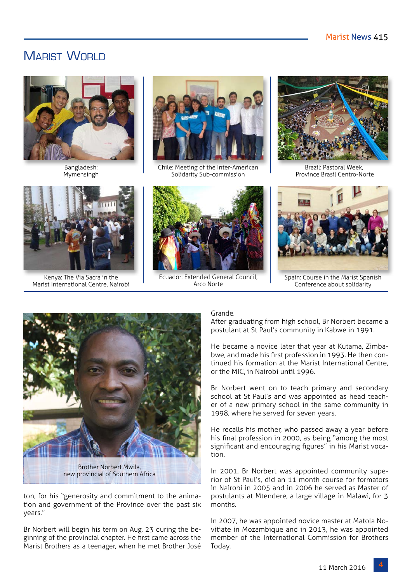## MARIST WORLD



Bangladesh: Mymensingh



Chile: Meeting of the Inter-American Solidarity Sub-commission



Province Brasil Centro-Norte



Kenya: The Via Sacra in the Marist International Centre, Nairobi



Ecuador: Extended General Council, Arco Norte



Spain: Course in the Marist Spanish Conference about solidarity



ton, for his "generosity and commitment to the animation and government of the Province over the past six years."

Br Norbert will begin his term on Aug. 23 during the beginning of the provincial chapter. He first came across the Marist Brothers as a teenager, when he met Brother José

#### Grande.

After graduating from high school, Br Norbert became a postulant at St Paul's community in Kabwe in 1991.

He became a novice later that year at Kutama, Zimbabwe, and made his first profession in 1993. He then continued his formation at the Marist International Centre, or the MIC, in Nairobi until 1996.

Br Norbert went on to teach primary and secondary school at St Paul's and was appointed as head teacher of a new primary school in the same community in 1998, where he served for seven years.

He recalls his mother, who passed away a year before his final profession in 2000, as being "among the most significant and encouraging figures" in his Marist vocation.

In 2001, Br Norbert was appointed community superior of St Paul's, did an 11 month course for formators in Nairobi in 2005 and in 2006 he served as Master of postulants at Mtendere, a large village in Malawi, for 3 months.

In 2007, he was appointed novice master at Matola Novitiate in Mozambique and in 2013, he was appointed member of the International Commission for Brothers Today.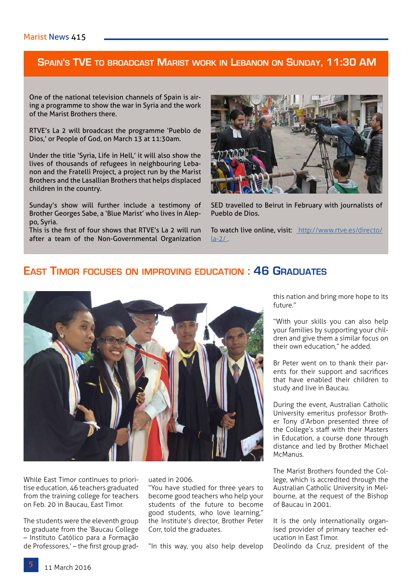#### **Spain's TVE to broadcast Marist work in Lebanon on Sunday, 11:30 AM**

One of the national television channels of Spain is airing a programme to show the war in Syria and the work of the Marist Brothers there.

RTVE's La 2 will broadcast the programme 'Pueblo de Dios,' or People of God, on March 13 at 11:30am.

Under the title 'Syria, Life in Hell,' it will also show the lives of thousands of refugees in neighbouring Lebanon and the Fratelli Project, a project run by the Marist Brothers and the Lasallian Brothers that helps displaced children in the country.

Sunday's show will further include a testimony of Brother Georges Sabe, a 'Blue Marist' who lives in Aleppo, Syria.

This is the first of four shows that RTVE's La 2 will run after a team of the Non-Governmental Organization



SED travelled to Beirut in February with journalists of Pueblo de Dios.

To watch live online, visit: [http://www.rtve.es/directo/]( http://www.rtve.es/directo/la-2/ )  $la-2/$ .

## **East Timor focuses on improving education : 46 Graduates**



While East Timor continues to prioritise education, 46 teachers graduated from the training college for teachers on Feb. 20 in Baucau, East Timor.

The students were the eleventh group to graduate from the 'Baucau College – Instituto Católico para a Formação de Professores,' – the first group graduated in 2006.

"You have studied for three years to become good teachers who help your students of the future to become good students, who love learning," the Institute's director, Brother Peter Corr, told the graduates.

"In this way, you also help develop

this nation and bring more hope to its future."

"With your skills you can also help your families by supporting your children and give them a similar focus on their own education," he added.

Br Peter went on to thank their parents for their support and sacrifices that have enabled their children to study and live in Baucau.

During the event, Australian Catholic University emeritus professor Brother Tony d'Arbon presented three of the College's staff with their Masters in Education, a course done through distance and led by Brother Michael McManus.

The Marist Brothers founded the College, which is accredited through the Australian Catholic University in Melbourne, at the request of the Bishop of Baucau in 2001.

It is the only internationally organised provider of primary teacher education in East Timor.

Deolindo da Cruz, president of the